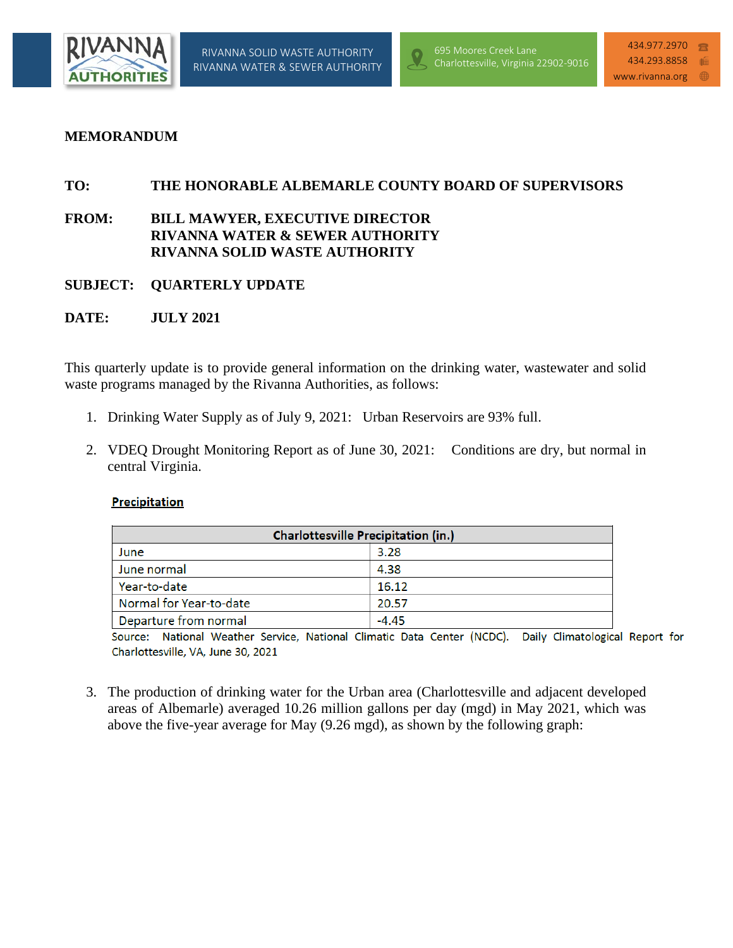

## **MEMORANDUM**

## **TO: THE HONORABLE ALBEMARLE COUNTY BOARD OF SUPERVISORS**

# **FROM: BILL MAWYER, EXECUTIVE DIRECTOR RIVANNA WATER & SEWER AUTHORITY RIVANNA SOLID WASTE AUTHORITY**

- **SUBJECT: QUARTERLY UPDATE**
- **DATE: JULY 2021**

This quarterly update is to provide general information on the drinking water, wastewater and solid waste programs managed by the Rivanna Authorities, as follows:

- 1. Drinking Water Supply as of July 9, 2021: Urban Reservoirs are 93% full.
- 2. VDEQ Drought Monitoring Report as of June 30, 2021: Conditions are dry, but normal in central Virginia.

#### Precipitation

| <b>Charlottesville Precipitation (in.)</b> |         |  |  |
|--------------------------------------------|---------|--|--|
| June                                       | 3.28    |  |  |
| June normal                                | 4.38    |  |  |
| Year-to-date                               | 16.12   |  |  |
| Normal for Year-to-date                    | 20.57   |  |  |
| Departure from normal                      | $-4.45$ |  |  |

National Weather Service, National Climatic Data Center (NCDC). Daily Climatological Report for Source: Charlottesville, VA, June 30, 2021

3. The production of drinking water for the Urban area (Charlottesville and adjacent developed areas of Albemarle) averaged 10.26 million gallons per day (mgd) in May 2021, which was above the five-year average for May (9.26 mgd), as shown by the following graph: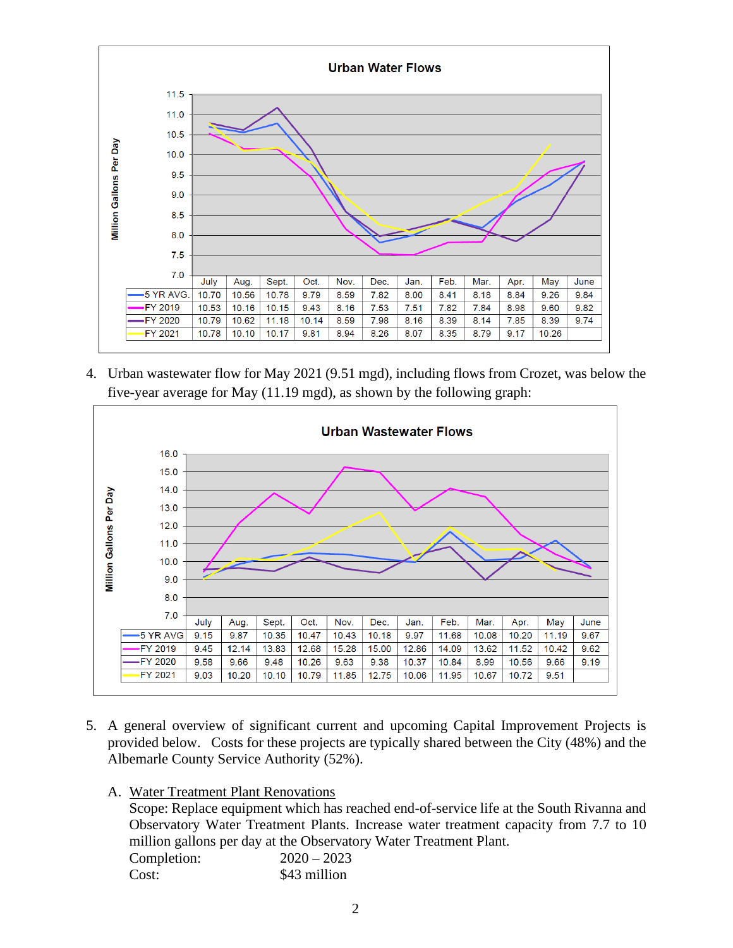

4. Urban wastewater flow for May 2021 (9.51 mgd), including flows from Crozet, was below the five-year average for May (11.19 mgd), as shown by the following graph:



- 5. A general overview of significant current and upcoming Capital Improvement Projects is provided below. Costs for these projects are typically shared between the City (48%) and the Albemarle County Service Authority (52%).
	- A. Water Treatment Plant Renovations

Scope: Replace equipment which has reached end-of-service life at the South Rivanna and Observatory Water Treatment Plants. Increase water treatment capacity from 7.7 to 10 million gallons per day at the Observatory Water Treatment Plant. Completion: 2020 – 2023 Cost: \$43 million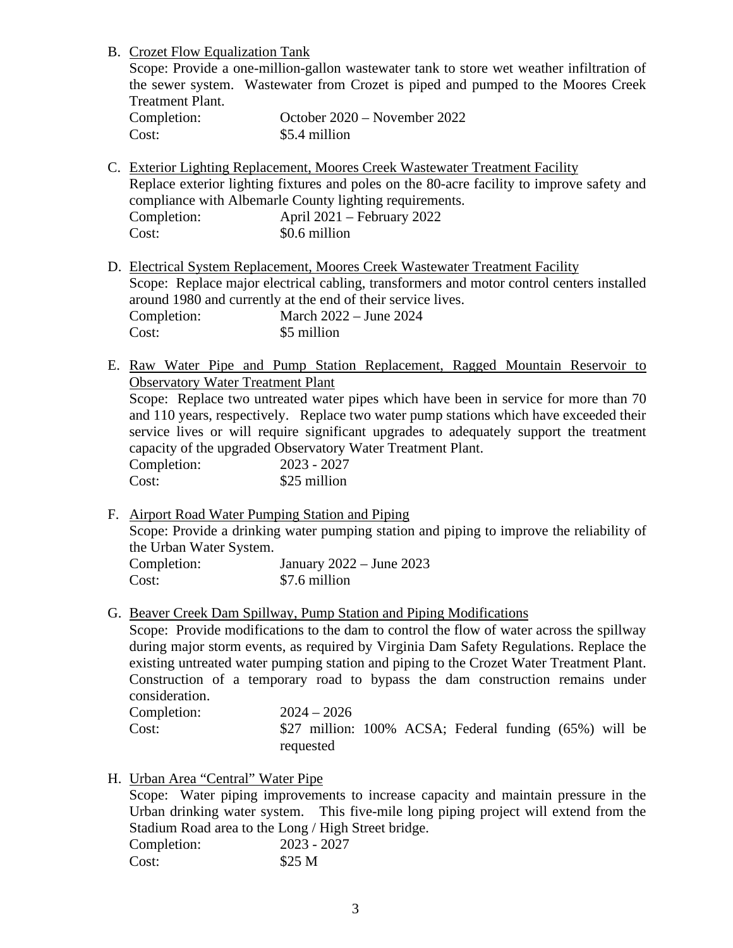B. Crozet Flow Equalization Tank

Scope: Provide a one-million-gallon wastewater tank to store wet weather infiltration of the sewer system. Wastewater from Crozet is piped and pumped to the Moores Creek Treatment Plant.

| Completion: | October 2020 – November 2022 |
|-------------|------------------------------|
| Cost:       | \$5.4 million                |

C. Exterior Lighting Replacement, Moores Creek Wastewater Treatment Facility Replace exterior lighting fixtures and poles on the 80-acre facility to improve safety and compliance with Albemarle County lighting requirements. Completion: April 2021 – February 2022 Cost:  $\qquad \qquad$  \$0.6 million

- D. Electrical System Replacement, Moores Creek Wastewater Treatment Facility Scope: Replace major electrical cabling, transformers and motor control centers installed around 1980 and currently at the end of their service lives. Completion: March 2022 – June 2024 Cost: \$5 million
- E. Raw Water Pipe and Pump Station Replacement, Ragged Mountain Reservoir to Observatory Water Treatment Plant Scope: Replace two untreated water pipes which have been in service for more than 70

and 110 years, respectively. Replace two water pump stations which have exceeded their service lives or will require significant upgrades to adequately support the treatment capacity of the upgraded Observatory Water Treatment Plant.

Completion: 2023 - 2027 Cost: \$25 million

- F. Airport Road Water Pumping Station and Piping Scope: Provide a drinking water pumping station and piping to improve the reliability of the Urban Water System. Completion: January 2022 – June 2023 Cost: \$7.6 million
- G. Beaver Creek Dam Spillway, Pump Station and Piping Modifications

Scope: Provide modifications to the dam to control the flow of water across the spillway during major storm events, as required by Virginia Dam Safety Regulations. Replace the existing untreated water pumping station and piping to the Crozet Water Treatment Plant. Construction of a temporary road to bypass the dam construction remains under consideration.

| Completion: | $2024 - 2026$                                          |  |  |  |  |
|-------------|--------------------------------------------------------|--|--|--|--|
| Cost:       | \$27 million: 100% ACSA; Federal funding (65%) will be |  |  |  |  |
|             | requested                                              |  |  |  |  |

# H. Urban Area "Central" Water Pipe

Scope: Water piping improvements to increase capacity and maintain pressure in the Urban drinking water system. This five-mile long piping project will extend from the Stadium Road area to the Long / High Street bridge. Completion: 2023 - 2027  $Cost:$  \$25 M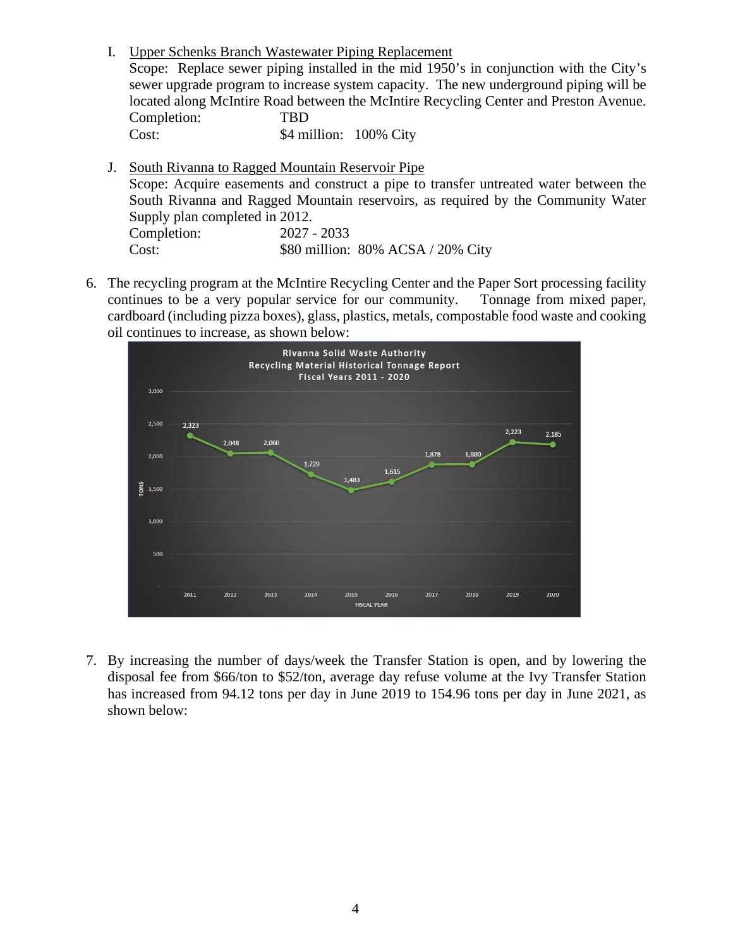I. Upper Schenks Branch Wastewater Piping Replacement Scope: Replace sewer piping installed in the mid 1950's in conjunction with the City's sewer upgrade program to increase system capacity. The new underground piping will be located along McIntire Road between the McIntire Recycling Center and Preston Avenue. Completion: TBD Cost: \$4 million: 100% City

- J. South Rivanna to Ragged Mountain Reservoir Pipe Scope: Acquire easements and construct a pipe to transfer untreated water between the South Rivanna and Ragged Mountain reservoirs, as required by the Community Water Supply plan completed in 2012. Completion: 2027 - 2033 Cost: \$80 million: 80% ACSA / 20% City
- 6. The recycling program at the McIntire Recycling Center and the Paper Sort processing facility continues to be a very popular service for our community. Tonnage from mixed paper, cardboard (including pizza boxes), glass, plastics, metals, compostable food waste and cooking oil continues to increase, as shown below:



7. By increasing the number of days/week the Transfer Station is open, and by lowering the disposal fee from \$66/ton to \$52/ton, average day refuse volume at the Ivy Transfer Station has increased from 94.12 tons per day in June 2019 to 154.96 tons per day in June 2021, as shown below: